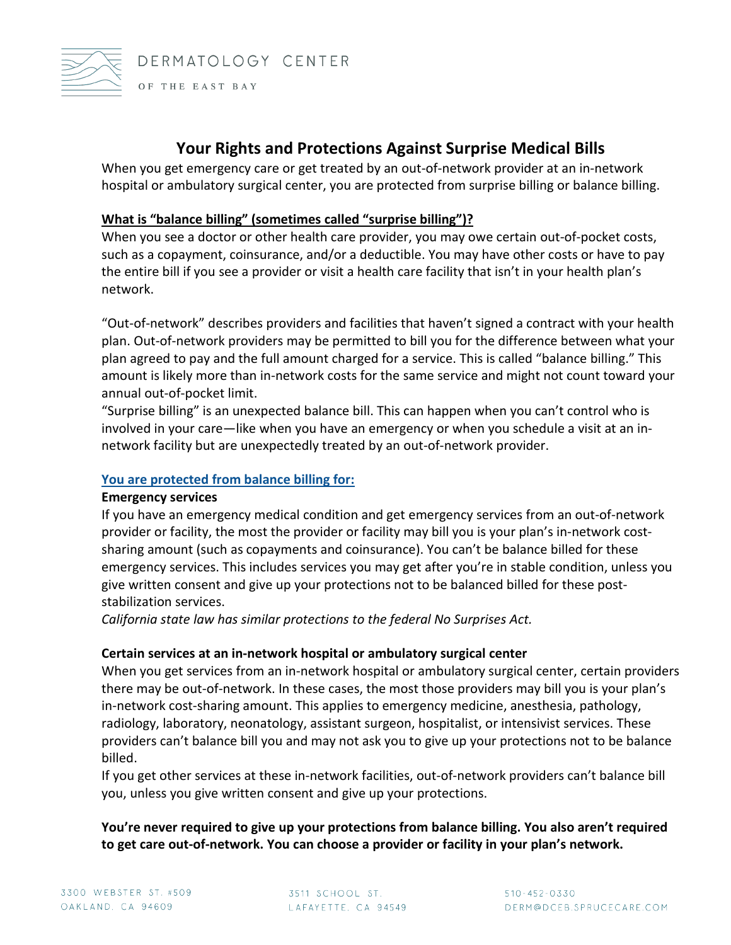

## **Your Rights and Protections Against Surprise Medical Bills**

When you get emergency care or get treated by an out-of-network provider at an in-network hospital or ambulatory surgical center, you are protected from surprise billing or balance billing.

#### **What is "balance billing" (sometimes called "surprise billing")?**

When you see a doctor or other health care provider, you may owe certain out-of-pocket costs, such as a copayment, coinsurance, and/or a deductible. You may have other costs or have to pay the entire bill if you see a provider or visit a health care facility that isn't in your health plan's network.

"Out-of-network" describes providers and facilities that haven't signed a contract with your health plan. Out-of-network providers may be permitted to bill you for the difference between what your plan agreed to pay and the full amount charged for a service. This is called "balance billing." This amount is likely more than in-network costs for the same service and might not count toward your annual out-of-pocket limit.

"Surprise billing" is an unexpected balance bill. This can happen when you can't control who is involved in your care—like when you have an emergency or when you schedule a visit at an innetwork facility but are unexpectedly treated by an out-of-network provider.

#### **You are protected from balance billing for:**

#### **Emergency services**

If you have an emergency medical condition and get emergency services from an out-of-network provider or facility, the most the provider or facility may bill you is your plan's in-network costsharing amount (such as copayments and coinsurance). You can't be balance billed for these emergency services. This includes services you may get after you're in stable condition, unless you give written consent and give up your protections not to be balanced billed for these poststabilization services.

*California state law has similar protections to the federal No Surprises Act.*

#### **Certain services at an in-network hospital or ambulatory surgical center**

When you get services from an in-network hospital or ambulatory surgical center, certain providers there may be out-of-network. In these cases, the most those providers may bill you is your plan's in-network cost-sharing amount. This applies to emergency medicine, anesthesia, pathology, radiology, laboratory, neonatology, assistant surgeon, hospitalist, or intensivist services. These providers can't balance bill you and may not ask you to give up your protections not to be balance billed.

If you get other services at these in-network facilities, out-of-network providers can't balance bill you, unless you give written consent and give up your protections.

### **You're never required to give up your protections from balance billing. You also aren't required to get care out-of-network. You can choose a provider or facility in your plan's network.**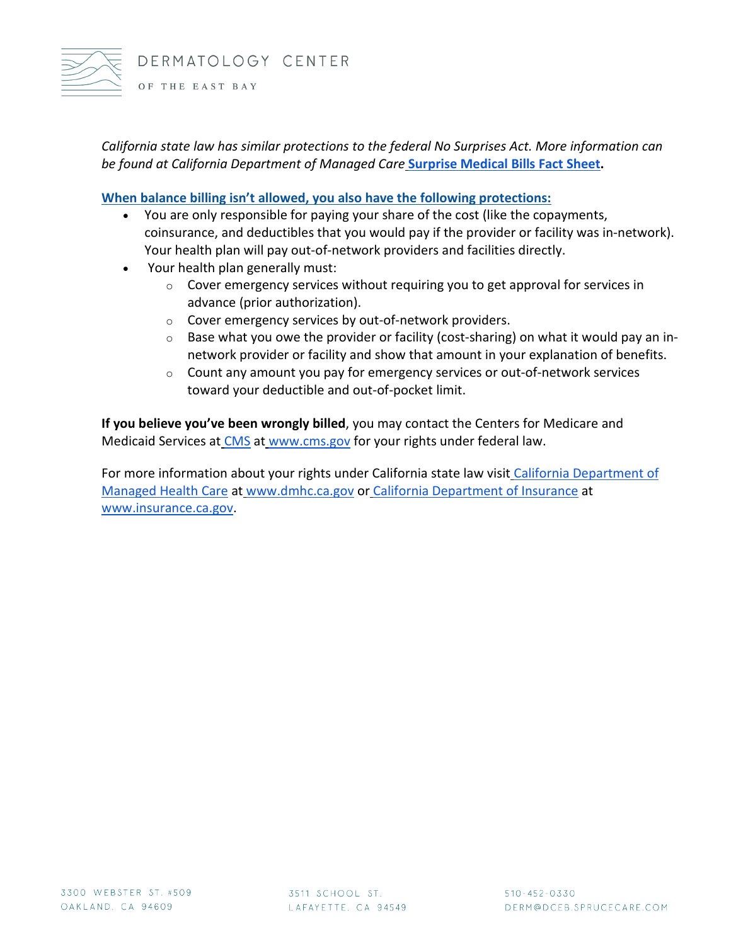

*California state law has similar protections to the federal No Surprises Act. More information can be found at California Department of Managed Care* **[Surprise Medical Bills Fact Sheet.](https://www.dmhc.ca.gov/Portals/0/HealthCareInCalifornia/FactSheets/fsab72.pdf)**

**When balance billing isn't allowed, you also have the following protections:**

- You are only responsible for paying your share of the cost (like the copayments, coinsurance, and deductibles that you would pay if the provider or facility was in-network). Your health plan will pay out-of-network providers and facilities directly.
- Your health plan generally must:
	- $\circ$  Cover emergency services without requiring you to get approval for services in advance (prior authorization).
	- o Cover emergency services by out-of-network providers.
	- o Base what you owe the provider or facility (cost-sharing) on what it would pay an innetwork provider or facility and show that amount in your explanation of benefits.
	- $\circ$  Count any amount you pay for emergency services or out-of-network services toward your deductible and out-of-pocket limit.

**If you believe you've been wrongly billed**, you may contact the Centers for Medicare and Medicaid Services at [CMS](https://nam12.safelinks.protection.outlook.com/?url=https%3A%2F%2Fwww.cms.gov%2Fnosurprises%2Fconsumer-protections%2FWhat-are-the-new-protections&data=04%7C01%7Ccborbon%40ucdavis.edu%7C1d664a01666b463ec3fc08d9c02b3ede%7Ca8046f6466c04f009046c8daf92ff62b%7C0%7C1%7C637752114393138079%7CUnknown%7CTWFpbGZsb3d8eyJWIjoiMC4wLjAwMDAiLCJQIjoiV2luMzIiLCJBTiI6Ik1haWwiLCJXVCI6Mn0%3D%7C3000&sdata=Ha3uhDeAodF0UpIWU%2FeITrgUDfheqSBRE5yCT18uA%2Bc%3D&reserved=0) at [www.cms.gov](http://www.cms.gov/) for your rights under federal law.

For more information about your rights under California state law visit California Department of [Managed Health Care](https://nam12.safelinks.protection.outlook.com/?url=https%3A%2F%2Fwww.dmhc.ca.gov%2FPortals%2F0%2FHealthCareInCalifornia%2FFactSheets%2Ffsab72.pdf&data=04%7C01%7Ccborbon%40ucdavis.edu%7C1d664a01666b463ec3fc08d9c02b3ede%7Ca8046f6466c04f009046c8daf92ff62b%7C0%7C1%7C637752114393138079%7CUnknown%7CTWFpbGZsb3d8eyJWIjoiMC4wLjAwMDAiLCJQIjoiV2luMzIiLCJBTiI6Ik1haWwiLCJXVCI6Mn0%3D%7C3000&sdata=vrgeT2pZEDtSJtvZ65tmCxrCRXzAbfxACgWXGotVUk8%3D&reserved=0) at [www.dmhc.ca.gov](http://www.dmhc.ca.gov/) or [California Department of Insurance](https://nam12.safelinks.protection.outlook.com/?url=https%3A%2F%2Fwww.insurance.ca.gov%2F01-consumers%2F110-health%2F60-resources%2FNoSupriseBills.cfm&data=04%7C01%7Ccborbon%40ucdavis.edu%7C1d664a01666b463ec3fc08d9c02b3ede%7Ca8046f6466c04f009046c8daf92ff62b%7C0%7C1%7C637752114393138079%7CUnknown%7CTWFpbGZsb3d8eyJWIjoiMC4wLjAwMDAiLCJQIjoiV2luMzIiLCJBTiI6Ik1haWwiLCJXVCI6Mn0%3D%7C3000&sdata=QR4ooRXoD8JHOxkKr7xMG1d6inV2UTwIY%2F9NzIUkWfM%3D&reserved=0) a[t](http://www.insurance.ca.gov/) [www.insurance.ca.gov.](http://www.insurance.ca.gov/)